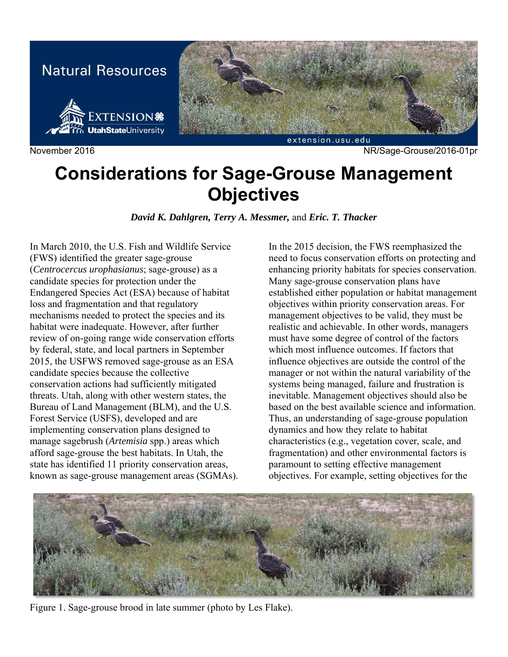

# **Considerations for Sage-Grouse Management Objectives**

*David K. Dahlgren, Terry A. Messmer,* and *Eric. T. Thacker* 

In March 2010, the U.S. Fish and Wildlife Service (FWS) identified the greater sage-grouse (*Centrocercus urophasianus*; sage-grouse) as a candidate species for protection under the Endangered Species Act (ESA) because of habitat loss and fragmentation and that regulatory mechanisms needed to protect the species and its habitat were inadequate. However, after further review of on-going range wide conservation efforts by federal, state, and local partners in September 2015, the USFWS removed sage-grouse as an ESA candidate species because the collective conservation actions had sufficiently mitigated threats. Utah, along with other western states, the Bureau of Land Management (BLM), and the U.S. Forest Service (USFS), developed and are implementing conservation plans designed to manage sagebrush (*Artemisia* spp.) areas which afford sage-grouse the best habitats. In Utah, the state has identified 11 priority conservation areas, known as sage-grouse management areas (SGMAs).

In the 2015 decision, the FWS reemphasized the need to focus conservation efforts on protecting and enhancing priority habitats for species conservation. Many sage-grouse conservation plans have established either population or habitat management objectives within priority conservation areas. For management objectives to be valid, they must be realistic and achievable. In other words, managers must have some degree of control of the factors which most influence outcomes. If factors that influence objectives are outside the control of the manager or not within the natural variability of the systems being managed, failure and frustration is inevitable. Management objectives should also be based on the best available science and information. Thus, an understanding of sage-grouse population dynamics and how they relate to habitat characteristics (e.g., vegetation cover, scale, and fragmentation) and other environmental factors is paramount to setting effective management objectives. For example, setting objectives for the



Figure 1. Sage-grouse brood in late summer (photo by Les Flake).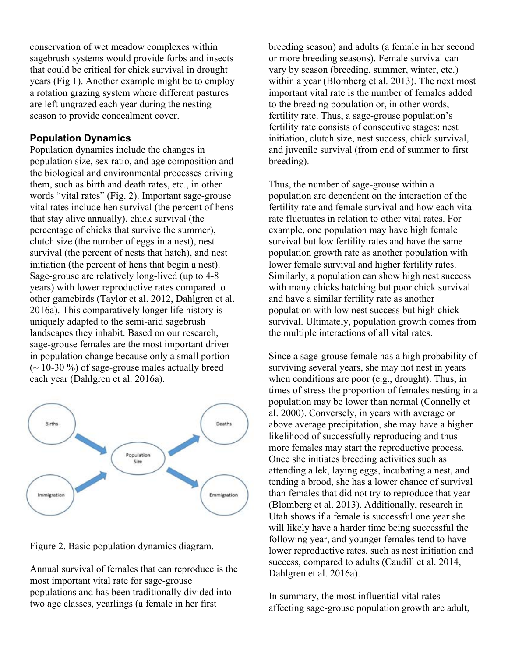conservation of wet meadow complexes within sagebrush systems would provide forbs and insects that could be critical for chick survival in drought years (Fig 1). Another example might be to employ a rotation grazing system where different pastures are left ungrazed each year during the nesting season to provide concealment cover.

## **Population Dynamics**

Population dynamics include the changes in population size, sex ratio, and age composition and the biological and environmental processes driving them, such as birth and death rates, etc., in other words "vital rates" (Fig. 2). Important sage-grouse vital rates include hen survival (the percent of hens that stay alive annually), chick survival (the percentage of chicks that survive the summer), clutch size (the number of eggs in a nest), nest survival (the percent of nests that hatch), and nest initiation (the percent of hens that begin a nest). Sage-grouse are relatively long-lived (up to 4-8 years) with lower reproductive rates compared to other gamebirds (Taylor et al. 2012, Dahlgren et al. 2016a). This comparatively longer life history is uniquely adapted to the semi-arid sagebrush landscapes they inhabit. Based on our research, sage-grouse females are the most important driver in population change because only a small portion  $\sim$  10-30 %) of sage-grouse males actually breed each year (Dahlgren et al. 2016a).



Figure 2. Basic population dynamics diagram.

Annual survival of females that can reproduce is the most important vital rate for sage-grouse populations and has been traditionally divided into two age classes, yearlings (a female in her first

breeding season) and adults (a female in her second or more breeding seasons). Female survival can vary by season (breeding, summer, winter, etc.) within a year (Blomberg et al. 2013). The next most important vital rate is the number of females added to the breeding population or, in other words, fertility rate. Thus, a sage-grouse population's fertility rate consists of consecutive stages: nest initiation, clutch size, nest success, chick survival, and juvenile survival (from end of summer to first breeding).

Thus, the number of sage-grouse within a population are dependent on the interaction of the fertility rate and female survival and how each vital rate fluctuates in relation to other vital rates. For example, one population may have high female survival but low fertility rates and have the same population growth rate as another population with lower female survival and higher fertility rates. Similarly, a population can show high nest success with many chicks hatching but poor chick survival and have a similar fertility rate as another population with low nest success but high chick survival. Ultimately, population growth comes from the multiple interactions of all vital rates.

Since a sage-grouse female has a high probability of surviving several years, she may not nest in years when conditions are poor (e.g., drought). Thus, in times of stress the proportion of females nesting in a population may be lower than normal (Connelly et al. 2000). Conversely, in years with average or above average precipitation, she may have a higher likelihood of successfully reproducing and thus more females may start the reproductive process. Once she initiates breeding activities such as attending a lek, laying eggs, incubating a nest, and tending a brood, she has a lower chance of survival than females that did not try to reproduce that year (Blomberg et al. 2013). Additionally, research in Utah shows if a female is successful one year she will likely have a harder time being successful the following year, and younger females tend to have lower reproductive rates, such as nest initiation and success, compared to adults (Caudill et al. 2014, Dahlgren et al. 2016a).

In summary, the most influential vital rates affecting sage-grouse population growth are adult,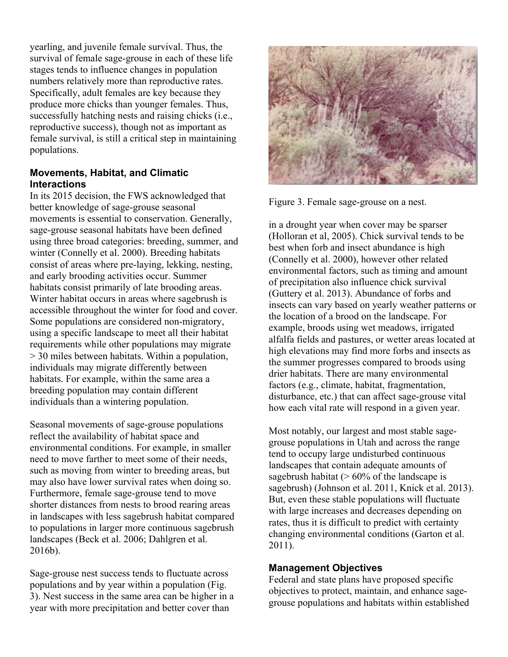yearling, and juvenile female survival. Thus, the survival of female sage-grouse in each of these life stages tends to influence changes in population numbers relatively more than reproductive rates. Specifically, adult females are key because they produce more chicks than younger females. Thus, successfully hatching nests and raising chicks (i.e., reproductive success), though not as important as female survival, is still a critical step in maintaining populations.

### **Movements, Habitat, and Climatic Interactions**

In its 2015 decision, the FWS acknowledged that better knowledge of sage-grouse seasonal movements is essential to conservation. Generally, sage-grouse seasonal habitats have been defined using three broad categories: breeding, summer, and winter (Connelly et al. 2000). Breeding habitats consist of areas where pre-laying, lekking, nesting, and early brooding activities occur. Summer habitats consist primarily of late brooding areas. Winter habitat occurs in areas where sagebrush is accessible throughout the winter for food and cover. Some populations are considered non-migratory, using a specific landscape to meet all their habitat requirements while other populations may migrate > 30 miles between habitats. Within a population, individuals may migrate differently between habitats. For example, within the same area a breeding population may contain different individuals than a wintering population.

Seasonal movements of sage-grouse populations reflect the availability of habitat space and environmental conditions. For example, in smaller need to move farther to meet some of their needs, such as moving from winter to breeding areas, but may also have lower survival rates when doing so. Furthermore, female sage-grouse tend to move shorter distances from nests to brood rearing areas in landscapes with less sagebrush habitat compared to populations in larger more continuous sagebrush landscapes (Beck et al. 2006; Dahlgren et al. 2016b).

Sage-grouse nest success tends to fluctuate across populations and by year within a population (Fig. 3). Nest success in the same area can be higher in a year with more precipitation and better cover than



Figure 3. Female sage-grouse on a nest.

in a drought year when cover may be sparser (Holloran et al, 2005). Chick survival tends to be best when forb and insect abundance is high (Connelly et al. 2000), however other related environmental factors, such as timing and amount of precipitation also influence chick survival (Guttery et al. 2013). Abundance of forbs and insects can vary based on yearly weather patterns or the location of a brood on the landscape. For example, broods using wet meadows, irrigated alfalfa fields and pastures, or wetter areas located at high elevations may find more forbs and insects as the summer progresses compared to broods using drier habitats. There are many environmental factors (e.g., climate, habitat, fragmentation, disturbance, etc.) that can affect sage-grouse vital how each vital rate will respond in a given year.

Most notably, our largest and most stable sagegrouse populations in Utah and across the range tend to occupy large undisturbed continuous landscapes that contain adequate amounts of sagebrush habitat  $(> 60\%$  of the landscape is sagebrush) (Johnson et al. 2011, Knick et al. 2013). But, even these stable populations will fluctuate with large increases and decreases depending on rates, thus it is difficult to predict with certainty changing environmental conditions (Garton et al. 2011).

### **Management Objectives**

Federal and state plans have proposed specific objectives to protect, maintain, and enhance sagegrouse populations and habitats within established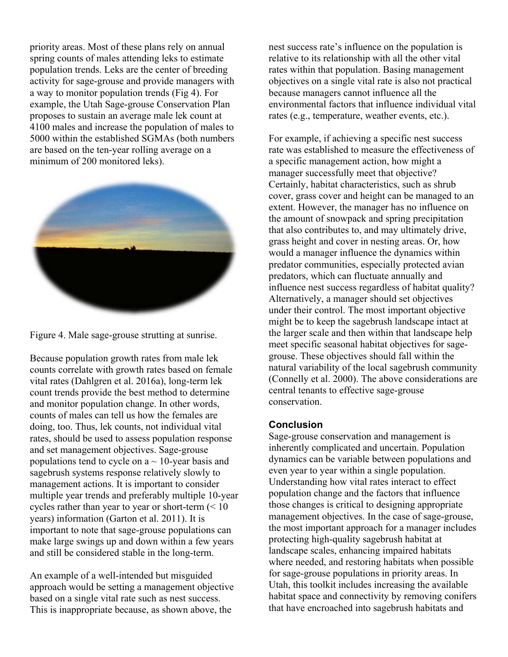priority areas. Most of these plans rely on annual spring counts of males attending leks to estimate population trends. Leks are the center of breeding activity for sage-grouse and provide managers with a way to monitor population trends (Fig 4). For example, the Utah Sage-grouse Conservation Plan proposes to sustain an average male lek count at 4100 males and increase the population of males to 5000 within the established SGMAs (both numbers are based on the ten-year rolling average on a minimum of 200 monitored leks).





Because population growth rates from male lek counts correlate with growth rates based on female vital rates (Dahlgren et al. 2016a), long-term lek count trends provide the best method to determine and monitor population change. In other words, counts of males can tell us how the females are doing, too. Thus, lek counts, not individual vital rates, should be used to assess population response and set management objectives. Sage-grouse populations tend to cycle on  $a \sim 10$ -year basis and sagebrush systems response relatively slowly to management actions. It is important to consider multiple year trends and preferably multiple 10-year cycles rather than year to year or short-term  $(< 10$ years) information (Garton et al. 2011). It is important to note that sage-grouse populations can make large swings up and down within a few years and still be considered stable in the long-term.

An example of a well-intended but misguided approach would be setting a management objective based on a single vital rate such as nest success. This is inappropriate because, as shown above, the

nest success rate's influence on the population is relative to its relationship with all the other vital rates within that population. Basing management objectives on a single vital rate is also not practical because managers cannot influence all the environmental factors that influence individual vital rates (e.g., temperature, weather events, etc.).

For example, if achieving a specific nest success rate was established to measure the effectiveness of a specific management action, how might a manager successfully meet that objective? Certainly, habitat characteristics, such as shrub cover, grass cover and height can be managed to an extent. However, the manager has no influence on the amount of snowpack and spring precipitation that also contributes to, and may ultimately drive, grass height and cover in nesting areas. Or, how would a manager influence the dynamics within predator communities, especially protected avian predators, which can fluctuate annually and influence nest success regardless of habitat quality? Alternatively, a manager should set objectives under their control. The most important objective might be to keep the sagebrush landscape intact at the larger scale and then within that landscape help meet specific seasonal habitat objectives for sagegrouse. These objectives should fall within the natural variability of the local sagebrush community (Connelly et al. 2000). The above considerations are central tenants to effective sage-grouse conservation.

### **Conclusion**

Sage-grouse conservation and management is inherently complicated and uncertain. Population dynamics can be variable between populations and even year to year within a single population. Understanding how vital rates interact to effect population change and the factors that influence those changes is critical to designing appropriate management objectives. In the case of sage-grouse, the most important approach for a manager includes protecting high-quality sagebrush habitat at landscape scales, enhancing impaired habitats where needed, and restoring habitats when possible for sage-grouse populations in priority areas. In Utah, this toolkit includes increasing the available habitat space and connectivity by removing conifers that have encroached into sagebrush habitats and